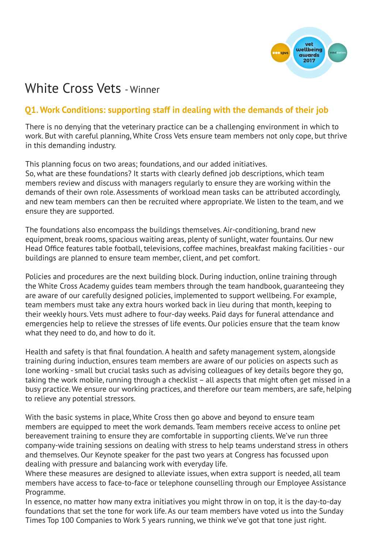

# White Cross Vets - Winner

## **Q1. Work Conditions: supporting staff in dealing with the demands of their job**

There is no denying that the veterinary practice can be a challenging environment in which to work. But with careful planning, White Cross Vets ensure team members not only cope, but thrive in this demanding industry.

This planning focus on two areas; foundations, and our added initiatives. So, what are these foundations? It starts with clearly defined job descriptions, which team members review and discuss with managers regularly to ensure they are working within the demands of their own role. Assessments of workload mean tasks can be attributed accordingly, and new team members can then be recruited where appropriate. We listen to the team, and we ensure they are supported.

The foundations also encompass the buildings themselves. Air-conditioning, brand new equipment, break rooms, spacious waiting areas, plenty of sunlight, water fountains. Our new Head Office features table football, televisions, coffee machines, breakfast making facilities - our buildings are planned to ensure team member, client, and pet comfort.

Policies and procedures are the next building block. During induction, online training through the White Cross Academy guides team members through the team handbook, guaranteeing they are aware of our carefully designed policies, implemented to support wellbeing. For example, team members must take any extra hours worked back in lieu during that month, keeping to their weekly hours. Vets must adhere to four-day weeks. Paid days for funeral attendance and emergencies help to relieve the stresses of life events. Our policies ensure that the team know what they need to do, and how to do it.

Health and safety is that final foundation. A health and safety management system, alongside training during induction, ensures team members are aware of our policies on aspects such as lone working - small but crucial tasks such as advising colleagues of key details begore they go, taking the work mobile, running through a checklist – all aspects that might often get missed in a busy practice. We ensure our working practices, and therefore our team members, are safe, helping to relieve any potential stressors.

With the basic systems in place, White Cross then go above and beyond to ensure team members are equipped to meet the work demands. Team members receive access to online pet bereavement training to ensure they are comfortable in supporting clients. We've run three company-wide training sessions on dealing with stress to help teams understand stress in others and themselves. Our Keynote speaker for the past two years at Congress has focussed upon dealing with pressure and balancing work with everyday life.

Where these measures are designed to alleviate issues, when extra support is needed, all team members have access to face-to-face or telephone counselling through our Employee Assistance Programme.

In essence, no matter how many extra initiatives you might throw in on top, it is the day-to-day foundations that set the tone for work life. As our team members have voted us into the Sunday Times Top 100 Companies to Work 5 years running, we think we've got that tone just right.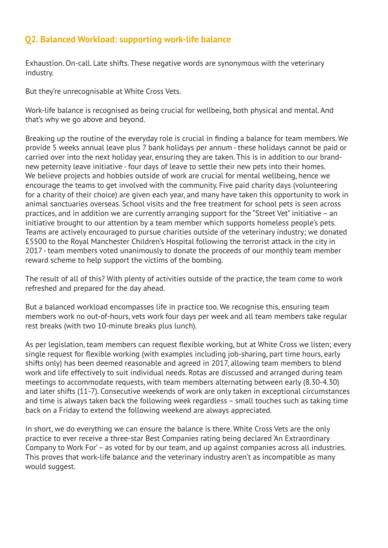## **Q2. Balanced Workload: supporting work-life balance**

Exhaustion. On-call. Late shifts. These negative words are synonymous with the veterinary industry.

But they're unrecognisable at White Cross Vets.

Work-life balance is recognised as being crucial for wellbeing, both physical and mental. And that's why we go above and beyond.

Breaking up the routine of the everyday role is crucial in finding a balance for team members. We provide 5 weeks annual leave plus 7 bank holidays per annum - these holidays cannot be paid or carried over into the next holiday year, ensuring they are taken. This is in addition to our brandnew peternity leave initiative - four days of leave to settle their new pets into their homes. We believe projects and hobbies outside of work are crucial for mental wellbeing, hence we encourage the teams to get involved with the community. Five paid charity days (volunteering for a charity of their choice) are given each year, and many have taken this opportunity to work in animal sanctuaries overseas. School visits and the free treatment for school pets is seen across practices, and in addition we are currently arranging support for the "Street Vet" initiative – an initiative brought to our attention by a team member which supports homeless people's pets. Teams are actively encouraged to pursue charities outside of the veterinary industry; we donated £5500 to the Royal Manchester Children's Hospital following the terrorist attack in the city in 2017 - team members voted unanimously to donate the proceeds of our monthly team member reward scheme to help support the victims of the bombing.

The result of all of this? With plenty of activities outside of the practice, the team come to work refreshed and prepared for the day ahead.

But a balanced workload encompasses life in practice too. We recognise this, ensuring team members work no out-of-hours, vets work four days per week and all team members take regular rest breaks (with two 10-minute breaks plus lunch).

As per legislation, team members can request flexible working, but at White Cross we listen; every single request for flexible working (with examples including job-sharing, part time hours, early shifts only) has been deemed reasonable and agreed in 2017, allowing team members to blend work and life effectively to suit individual needs. Rotas are discussed and arranged during team meetings to accommodate requests, with team members alternating between early (8.30-4.30) and later shifts (11-7). Consecutive weekends of work are only taken in exceptional circumstances and time is always taken back the following week regardless – small touches such as taking time back on a Friday to extend the following weekend are always appreciated.

In short, we do everything we can ensure the balance is there. White Cross Vets are the only practice to ever receive a three-star Best Companies rating being declared 'An Extraordinary Company to Work For' – as voted for by our team, and up against companies across all industries. This proves that work-life balance and the veterinary industry aren't as incompatible as many would suggest.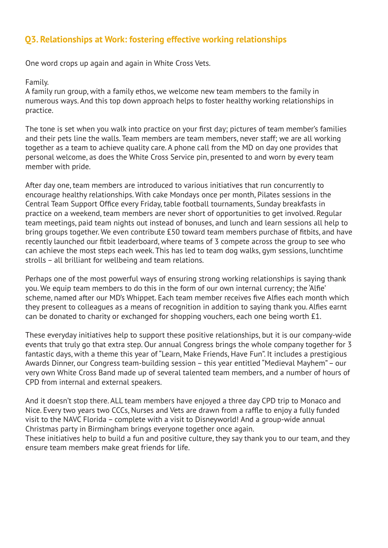## **Q3. Relationships at Work: fostering effective working relationships**

One word crops up again and again in White Cross Vets.

#### Family.

A family run group, with a family ethos, we welcome new team members to the family in numerous ways. And this top down approach helps to foster healthy working relationships in practice.

The tone is set when you walk into practice on your first day; pictures of team member's families and their pets line the walls. Team members are team members, never staff; we are all working together as a team to achieve quality care. A phone call from the MD on day one provides that personal welcome, as does the White Cross Service pin, presented to and worn by every team member with pride.

After day one, team members are introduced to various initiatives that run concurrently to encourage healthy relationships. With cake Mondays once per month, Pilates sessions in the Central Team Support Office every Friday, table football tournaments, Sunday breakfasts in practice on a weekend, team members are never short of opportunities to get involved. Regular team meetings, paid team nights out instead of bonuses, and lunch and learn sessions all help to bring groups together. We even contribute £50 toward team members purchase of fitbits, and have recently launched our fitbit leaderboard, where teams of 3 compete across the group to see who can achieve the most steps each week. This has led to team dog walks, gym sessions, lunchtime strolls – all brilliant for wellbeing and team relations.

Perhaps one of the most powerful ways of ensuring strong working relationships is saying thank you. We equip team members to do this in the form of our own internal currency; the 'Alfie' scheme, named after our MD's Whippet. Each team member receives five Alfies each month which they present to colleagues as a means of recognition in addition to saying thank you. Alfies earnt can be donated to charity or exchanged for shopping vouchers, each one being worth £1.

These everyday initiatives help to support these positive relationships, but it is our company-wide events that truly go that extra step. Our annual Congress brings the whole company together for 3 fantastic days, with a theme this year of "Learn, Make Friends, Have Fun". It includes a prestigious Awards Dinner, our Congress team-building session – this year entitled "Medieval Mayhem" – our very own White Cross Band made up of several talented team members, and a number of hours of CPD from internal and external speakers.

And it doesn't stop there. ALL team members have enjoyed a three day CPD trip to Monaco and Nice. Every two years two CCCs, Nurses and Vets are drawn from a raffle to enjoy a fully funded visit to the NAVC Florida – complete with a visit to Disneyworld! And a group-wide annual Christmas party in Birmingham brings everyone together once again.

These initiatives help to build a fun and positive culture, they say thank you to our team, and they ensure team members make great friends for life.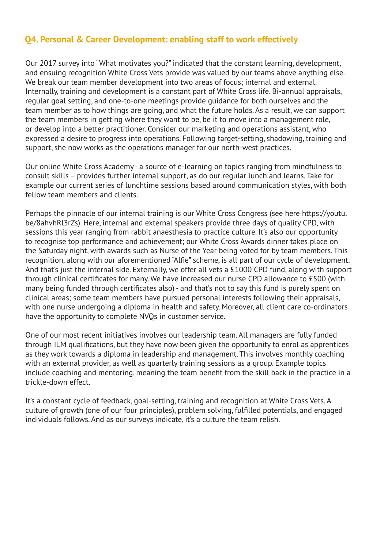## **Q4. Personal & Career Development: enabling staff to work effectively**

Our 2017 survey into "What motivates you?" indicated that the constant learning, development, and ensuing recognition White Cross Vets provide was valued by our teams above anything else. We break our team member development into two areas of focus; internal and external. Internally, training and development is a constant part of White Cross life. Bi-annual appraisals, regular goal setting, and one-to-one meetings provide guidance for both ourselves and the team member as to how things are going, and what the future holds. As a result, we can support the team members in getting where they want to be, be it to move into a management role, or develop into a better practitioner. Consider our marketing and operations assistant, who expressed a desire to progress into operations. Following target-setting, shadowing, training and support, she now works as the operations manager for our north-west practices.

Our online White Cross Academy - a source of e-learning on topics ranging from mindfulness to consult skills – provides further internal support, as do our regular lunch and learns. Take for example our current series of lunchtime sessions based around communication styles, with both fellow team members and clients.

Perhaps the pinnacle of our internal training is our White Cross Congress (see here https://youtu. be/8ahvhRl3rZs). Here, internal and external speakers provide three days of quality CPD, with sessions this year ranging from rabbit anaesthesia to practice culture. It's also our opportunity to recognise top performance and achievement; our White Cross Awards dinner takes place on the Saturday night, with awards such as Nurse of the Year being voted for by team members. This recognition, along with our aforementioned "Alfie" scheme, is all part of our cycle of development. And that's just the internal side. Externally, we offer all vets a £1000 CPD fund, along with support through clinical certificates for many. We have increased our nurse CPD allowance to £500 (with many being funded through certificates also) - and that's not to say this fund is purely spent on clinical areas; some team members have pursued personal interests following their appraisals, with one nurse undergoing a diploma in health and safety. Moreover, all client care co-ordinators have the opportunity to complete NVQs in customer service.

One of our most recent initiatives involves our leadership team. All managers are fully funded through ILM qualifications, but they have now been given the opportunity to enrol as apprentices as they work towards a diploma in leadership and management. This involves monthly coaching with an external provider, as well as quarterly training sessions as a group. Example topics include coaching and mentoring, meaning the team benefit from the skill back in the practice in a trickle-down effect.

It's a constant cycle of feedback, goal-setting, training and recognition at White Cross Vets. A culture of growth (one of our four principles), problem solving, fulfilled potentials, and engaged individuals follows. And as our surveys indicate, it's a culture the team relish.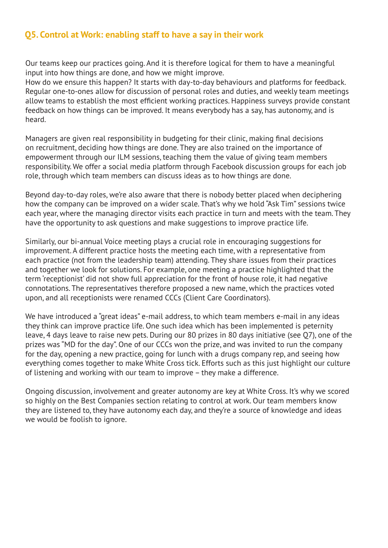## **Q5. Control at Work: enabling staff to have a say in their work**

Our teams keep our practices going. And it is therefore logical for them to have a meaningful input into how things are done, and how we might improve.

How do we ensure this happen? It starts with day-to-day behaviours and platforms for feedback. Regular one-to-ones allow for discussion of personal roles and duties, and weekly team meetings allow teams to establish the most efficient working practices. Happiness surveys provide constant feedback on how things can be improved. It means everybody has a say, has autonomy, and is heard.

Managers are given real responsibility in budgeting for their clinic, making final decisions on recruitment, deciding how things are done. They are also trained on the importance of empowerment through our ILM sessions, teaching them the value of giving team members responsibility. We offer a social media platform through Facebook discussion groups for each job role, through which team members can discuss ideas as to how things are done.

Beyond day-to-day roles, we're also aware that there is nobody better placed when deciphering how the company can be improved on a wider scale. That's why we hold "Ask Tim" sessions twice each year, where the managing director visits each practice in turn and meets with the team. They have the opportunity to ask questions and make suggestions to improve practice life.

Similarly, our bi-annual Voice meeting plays a crucial role in encouraging suggestions for improvement. A different practice hosts the meeting each time, with a representative from each practice (not from the leadership team) attending. They share issues from their practices and together we look for solutions. For example, one meeting a practice highlighted that the term 'receptionist' did not show full appreciation for the front of house role, it had negative connotations. The representatives therefore proposed a new name, which the practices voted upon, and all receptionists were renamed CCCs (Client Care Coordinators).

We have introduced a "great ideas" e-mail address, to which team members e-mail in any ideas they think can improve practice life. One such idea which has been implemented is peternity leave, 4 days leave to raise new pets. During our 80 prizes in 80 days initiative (see Q7), one of the prizes was "MD for the day". One of our CCCs won the prize, and was invited to run the company for the day, opening a new practice, going for lunch with a drugs company rep, and seeing how everything comes together to make White Cross tick. Efforts such as this just highlight our culture of listening and working with our team to improve – they make a difference.

Ongoing discussion, involvement and greater autonomy are key at White Cross. It's why we scored so highly on the Best Companies section relating to control at work. Our team members know they are listened to, they have autonomy each day, and they're a source of knowledge and ideas we would be foolish to ignore.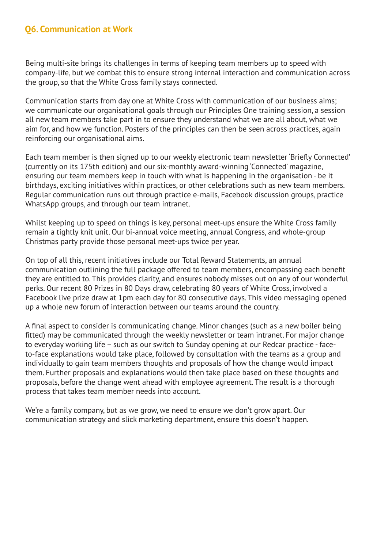## **Q6. Communication at Work**

Being multi-site brings its challenges in terms of keeping team members up to speed with company-life, but we combat this to ensure strong internal interaction and communication across the group, so that the White Cross family stays connected.

Communication starts from day one at White Cross with communication of our business aims; we communicate our organisational goals through our Principles One training session, a session all new team members take part in to ensure they understand what we are all about, what we aim for, and how we function. Posters of the principles can then be seen across practices, again reinforcing our organisational aims.

Each team member is then signed up to our weekly electronic team newsletter 'Briefly Connected' (currently on its 175th edition) and our six-monthly award-winning 'Connected' magazine, ensuring our team members keep in touch with what is happening in the organisation - be it birthdays, exciting initiatives within practices, or other celebrations such as new team members. Regular communication runs out through practice e-mails, Facebook discussion groups, practice WhatsApp groups, and through our team intranet.

Whilst keeping up to speed on things is key, personal meet-ups ensure the White Cross family remain a tightly knit unit. Our bi-annual voice meeting, annual Congress, and whole-group Christmas party provide those personal meet-ups twice per year.

On top of all this, recent initiatives include our Total Reward Statements, an annual communication outlining the full package offered to team members, encompassing each benefit they are entitled to. This provides clarity, and ensures nobody misses out on any of our wonderful perks. Our recent 80 Prizes in 80 Days draw, celebrating 80 years of White Cross, involved a Facebook live prize draw at 1pm each day for 80 consecutive days. This video messaging opened up a whole new forum of interaction between our teams around the country.

A final aspect to consider is communicating change. Minor changes (such as a new boiler being fitted) may be communicated through the weekly newsletter or team intranet. For major change to everyday working life – such as our switch to Sunday opening at our Redcar practice - faceto-face explanations would take place, followed by consultation with the teams as a group and individually to gain team members thoughts and proposals of how the change would impact them. Further proposals and explanations would then take place based on these thoughts and proposals, before the change went ahead with employee agreement. The result is a thorough process that takes team member needs into account.

We're a family company, but as we grow, we need to ensure we don't grow apart. Our communication strategy and slick marketing department, ensure this doesn't happen.